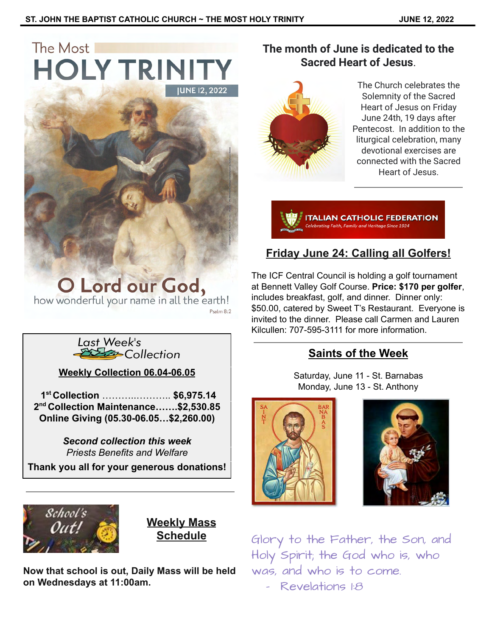# The Most **HOLY TRINIT**



**O Lord our God,**<br>how wonderful your name in all the earth!

Last Week's<br>E<del>XEX</del> Collection

**Weekly Collection 06.04-06.05**

**1 st Collection** ………..……….. **\$6,975.14 2 nd Collection Maintenance…….\$2,530.85 Online Giving (05.30-06.05…\$2,260.00)**

> *Second collection this week Priests Benefits and Welfare*

**Thank you all for your generous donations!**



**Weekly Mass Schedule**

**Now that school is out, Daily Mass will be held on Wednesdays at 11:00am.**

### **The month of June is dedicated to the Sacred Heart of Jesus**.



The Church celebrates the Solemnity of the Sacred Heart of Jesus on Friday June 24th, 19 days after Pentecost. In addition to the liturgical celebration, many devotional exercises are connected with the Sacred Heart of Jesus.

**ITALIAN CATHOLIC FEDERATION** 

# **Friday June 24: Calling all Golfers!**

The ICF Central Council is holding a golf tournament at Bennett Valley Golf Course. **Price: \$170 per golfer**, includes breakfast, golf, and dinner. Dinner only: \$50.00, catered by Sweet T's Restaurant. Everyone is invited to the dinner. Please call Carmen and Lauren Kilcullen: 707-595-3111 for more information.

## **Saints of the Week**

Saturday, June 11 - St. Barnabas Monday, June 13 - St. Anthony





Glory to the Father, the Son, and Holy Spirit; the God who is, who was, and who is to come.

- Revelations 1:8